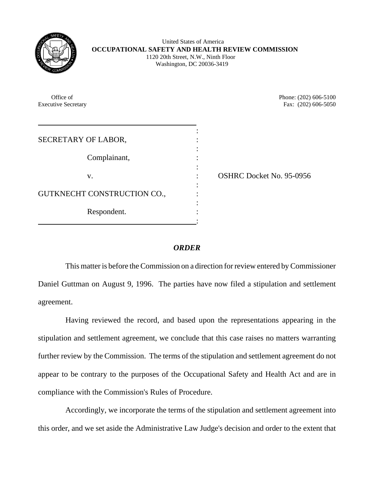

 United States of America **OCCUPATIONAL SAFETY AND HEALTH REVIEW COMMISSION** 1120 20th Street, N.W., Ninth Floor Washington, DC 20036-3419

| Office of<br><b>Executive Secretary</b> | Phone: (202) 606-5100<br>Fax: (202) 606-5050 |
|-----------------------------------------|----------------------------------------------|
| SECRETARY OF LABOR,                     |                                              |
| Complainant,                            |                                              |
| V.                                      | <b>OSHRC Docket No. 95-0956</b>              |
| GUTKNECHT CONSTRUCTION CO.,             |                                              |
| Respondent.                             |                                              |
|                                         |                                              |

## *ORDER*

This matter is before the Commission on a direction for review entered by Commissioner Daniel Guttman on August 9, 1996. The parties have now filed a stipulation and settlement agreement.

Having reviewed the record, and based upon the representations appearing in the stipulation and settlement agreement, we conclude that this case raises no matters warranting further review by the Commission. The terms of the stipulation and settlement agreement do not appear to be contrary to the purposes of the Occupational Safety and Health Act and are in compliance with the Commission's Rules of Procedure.

Accordingly, we incorporate the terms of the stipulation and settlement agreement into this order, and we set aside the Administrative Law Judge's decision and order to the extent that